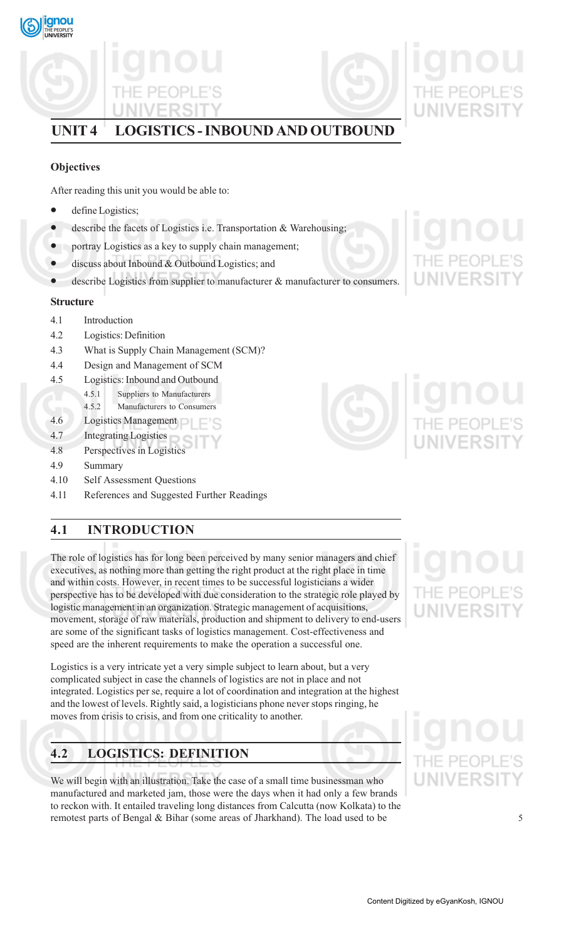

# **UNIT 4 LOGISTICS - INBOUND AND OUTBOUND**

# **Objectives**

After reading this unit you would be able to:

- define Logistics;
- describe the facets of Logistics i.e. Transportation  $\&$  Warehousing;
- portray Logistics as a key to supply chain management;
- discuss about Inbound & Outbound Logistics; and
- describe Logistics from supplier to manufacturer  $\&$  manufacturer to consumers.

# **Structure**

- 4.1 Introduction
- 4.2 Logistics: Definition
- 4.3 What is Supply Chain Management (SCM)?
- 4.4 Design and Management of SCM
- 4.5 Logistics: Inbound and Outbound
	- 4.5.1 Suppliers to Manufacturers
	- 4.5.2 Manufacturers to Consumers
- 4.6 Logistics Management
- 4.7 Integrating Logistics
- 4.8 Perspectives in Logistics
- 4.9 Summary
- 4.10 Self Assessment Questions
- 4.11 References and Suggested Further Readings

# **4.1 INTRODUCTION**

The role of logistics has for long been perceived by many senior managers and chief executives, as nothing more than getting the right product at the right place in time and within costs. However, in recent times to be successful logisticians a wider perspective has to be developed with due consideration to the strategic role played by logistic management in an organization. Strategic management of acquisitions, movement, storage of raw materials, production and shipment to delivery to end-users are some of the significant tasks of logistics management. Cost-effectiveness and speed are the inherent requirements to make the operation a successful one.

Logistics is a very intricate yet a very simple subject to learn about, but a very complicated subject in case the channels of logistics are not in place and not integrated. Logistics per se, require a lot of coordination and integration at the highest and the lowest of levels. Rightly said, a logisticians phone never stops ringing, he moves from crisis to crisis, and from one criticality to another.

# **4.2 LOGISTICS: DEFINITION**

We will begin with an illustration. Take the case of a small time businessman who manufactured and marketed jam, those were the days when it had only a few brands to reckon with. It entailed traveling long distances from Calcutta (now Kolkata) to the remotest parts of Bengal & Bihar (some areas of Jharkhand). The load used to be



# **JNIVERSI**

# PF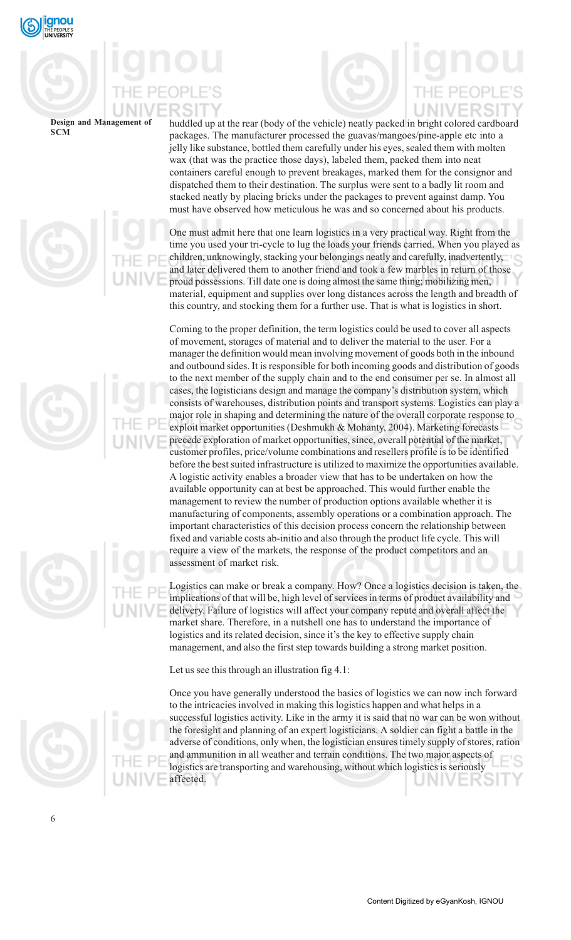

huddled up at the rear (body of the vehicle) neatly packed in bright colored cardboard packages. The manufacturer processed the guavas/mangoes/pine-apple etc into a jelly like substance, bottled them carefully under his eyes, sealed them with molten wax (that was the practice those days), labeled them, packed them into neat containers careful enough to prevent breakages, marked them for the consignor and dispatched them to their destination. The surplus were sent to a badly lit room and stacked neatly by placing bricks under the packages to prevent against damp. You must have observed how meticulous he was and so concerned about his products.

One must admit here that one learn logistics in a very practical way. Right from the time you used your tri-cycle to lug the loads your friends carried. When you played as children, unknowingly, stacking your belongings neatly and carefully, inadvertently, and later delivered them to another friend and took a few marbles in return of those proud possessions. Till date one is doing almost the same thing; mobilizing men, material, equipment and supplies over long distances across the length and breadth of this country, and stocking them for a further use. That is what is logistics in short.

Coming to the proper definition, the term logistics could be used to cover all aspects of movement, storages of material and to deliver the material to the user. For a manager the definition would mean involving movement of goods both in the inbound and outbound sides. It is responsible for both incoming goods and distribution of goods to the next member of the supply chain and to the end consumer per se. In almost all cases, the logisticians design and manage the company's distribution system, which consists of warehouses, distribution points and transport systems. Logistics can play a major role in shaping and determining the nature of the overall corporate response to exploit market opportunities (Deshmukh & Mohanty, 2004). Marketing forecasts precede exploration of market opportunities, since, overall potential of the market, customer profiles, price/volume combinations and resellers profile is to be identified before the best suited infrastructure is utilized to maximize the opportunities available. A logistic activity enables a broader view that has to be undertaken on how the available opportunity can at best be approached. This would further enable the management to review the number of production options available whether it is manufacturing of components, assembly operations or a combination approach. The important characteristics of this decision process concern the relationship between fixed and variable costs ab-initio and also through the product life cycle. This will require a view of the markets, the response of the product competitors and an assessment of market risk.

Logistics can make or break a company. How? Once a logistics decision is taken, the implications of that will be, high level of services in terms of product availability and delivery. Failure of logistics will affect your company repute and overall affect the market share. Therefore, in a nutshell one has to understand the importance of logistics and its related decision, since it's the key to effective supply chain management, and also the first step towards building a strong market position.

Let us see this through an illustration fig 4.1:

Once you have generally understood the basics of logistics we can now inch forward to the intricacies involved in making this logistics happen and what helps in a successful logistics activity. Like in the army it is said that no war can be won without the foresight and planning of an expert logisticians. A soldier can fight a battle in the adverse of conditions, only when, the logistician ensures timely supply of stores, ration and ammunition in all weather and terrain conditions. The two major aspects of logistics are transporting and warehousing, without which logistics is seriously affected.







6

Content Digitized by eGyanKosh, IGNOU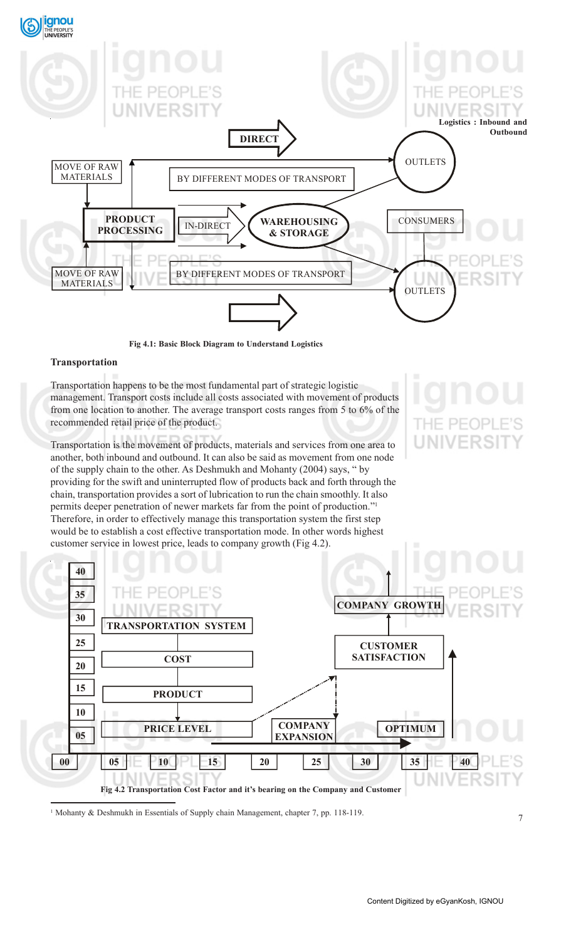

**Fig 4.1: Basic Block Diagram to Understand Logistics**

# **Transportation**

Transportation happens to be the most fundamental part of strategic logistic management. Transport costs include all costs associated with movement of products from one location to another. The average transport costs ranges from 5 to 6% of the recommended retail price of the product.

Transportation is the movement of products, materials and services from one area to another, both inbound and outbound. It can also be said as movement from one node of the supply chain to the other. As Deshmukh and Mohanty (2004) says, " by providing for the swift and uninterrupted flow of products back and forth through the chain, transportation provides a sort of lubrication to run the chain smoothly. It also permits deeper penetration of newer markets far from the point of production."1 Therefore, in order to effectively manage this transportation system the first step would be to establish a cost effective transportation mode. In other words highest customer service in lowest price, leads to company growth (Fig 4.2).



<sup>1</sup> Mohanty & Deshmukh in Essentials of Supply chain Management, chapter 7, pp. 118-119.

THE PEOP **UNIVERSI**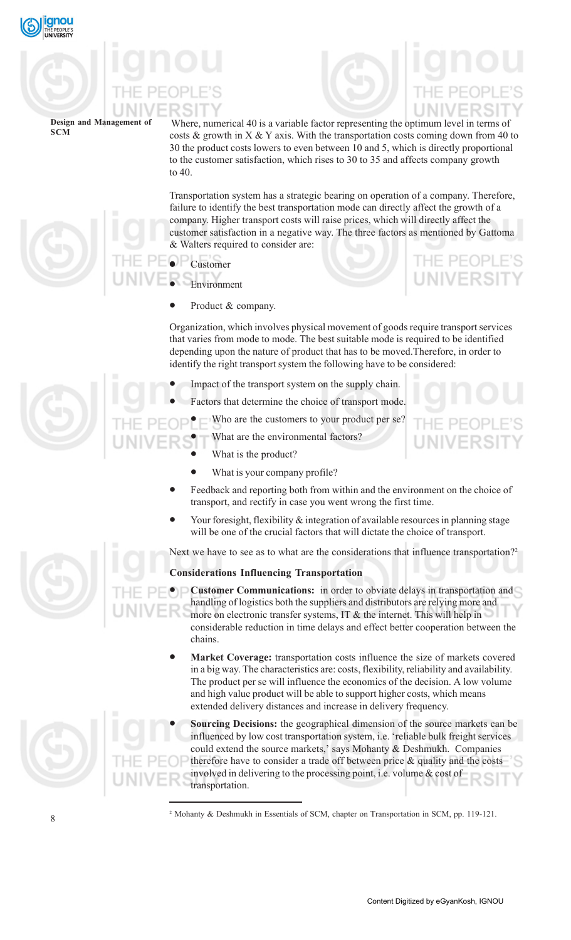

Where, numerical 40 is a variable factor representing the optimum level in terms of costs  $\&$  growth in X  $\&$  Y axis. With the transportation costs coming down from 40 to 30 the product costs lowers to even between 10 and 5, which is directly proportional to the customer satisfaction, which rises to 30 to 35 and affects company growth to 40.

Transportation system has a strategic bearing on operation of a company. Therefore, failure to identify the best transportation mode can directly affect the growth of a company. Higher transport costs will raise prices, which will directly affect the customer satisfaction in a negative way. The three factors as mentioned by Gattoma & Walters required to consider are:

- Customer
- **Environment**
- Product & company.

Organization, which involves physical movement of goods require transport services that varies from mode to mode. The best suitable mode is required to be identified depending upon the nature of product that has to be moved.Therefore, in order to identify the right transport system the following have to be considered:

- Impact of the transport system on the supply chain.
- Factors that determine the choice of transport mode.
	- Who are the customers to your product per se?
		- What are the environmental factors?
		- What is the product?
		- What is your company profile?
- Feedback and reporting both from within and the environment on the choice of transport, and rectify in case you went wrong the first time.
- Your foresight, flexibility & integration of available resources in planning stage will be one of the crucial factors that will dictate the choice of transport.

Next we have to see as to what are the considerations that influence transportation?<sup>2</sup>

# **Considerations Influencing Transportation**

• **Customer Communications:** in order to obviate delays in transportation and handling of logistics both the suppliers and distributors are relying more and more on electronic transfer systems, IT & the internet. This will help in considerable reduction in time delays and effect better cooperation between the chains.

**Market Coverage:** transportation costs influence the size of markets covered in a big way. The characteristics are: costs, flexibility, reliability and availability. The product per se will influence the economics of the decision. A low volume and high value product will be able to support higher costs, which means extended delivery distances and increase in delivery frequency.

• **Sourcing Decisions:** the geographical dimension of the source markets can be influenced by low cost transportation system, i.e. 'reliable bulk freight services could extend the source markets,' says Mohanty & Deshmukh. Companies therefore have to consider a trade off between price  $\&$  quality and the costs involved in delivering to the processing point, i.e. volume & cost of transportation.

2 Mohanty & Deshmukh in Essentials of SCM, chapter on Transportation in SCM, pp. 119-121.



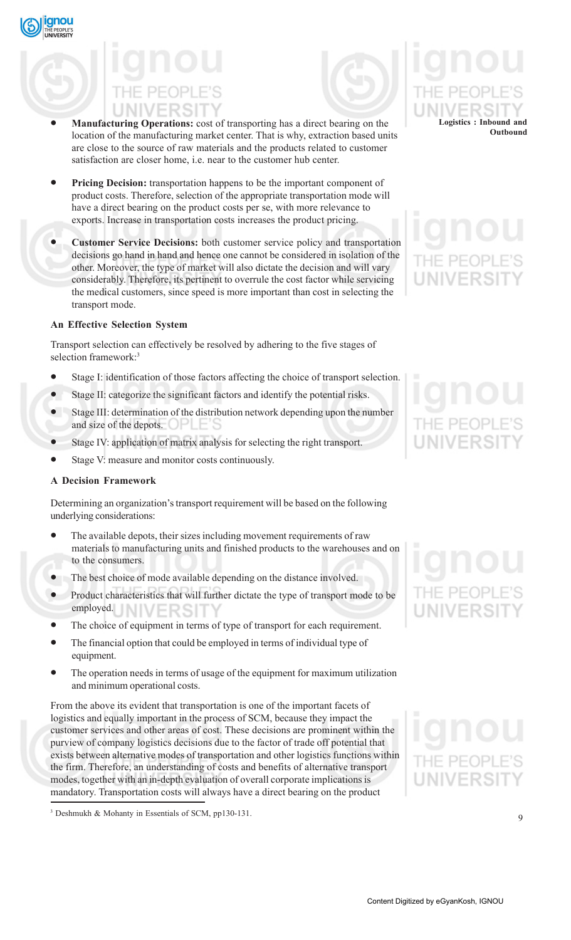

- **Manufacturing Operations:** cost of transporting has a direct bearing on the location of the manufacturing market center. That is why, extraction based units are close to the source of raw materials and the products related to customer satisfaction are closer home, i.e. near to the customer hub center.
- **Pricing Decision:** transportation happens to be the important component of product costs. Therefore, selection of the appropriate transportation mode will have a direct bearing on the product costs per se, with more relevance to exports. Increase in transportation costs increases the product pricing.
- **Customer Service Decisions:** both customer service policy and transportation decisions go hand in hand and hence one cannot be considered in isolation of the other. Moreover, the type of market will also dictate the decision and will vary considerably. Therefore, its pertinent to overrule the cost factor while servicing the medical customers, since speed is more important than cost in selecting the transport mode.

# **An Effective Selection System**

qnou

Transport selection can effectively be resolved by adhering to the five stages of selection framework:<sup>3</sup>

- Stage I: identification of those factors affecting the choice of transport selection.
- Stage II: categorize the significant factors and identify the potential risks.
- Stage III: determination of the distribution network depending upon the number and size of the depots.
- Stage IV: application of matrix analysis for selecting the right transport.
- Stage V: measure and monitor costs continuously.

# **A Decision Framework**

Determining an organization's transport requirement will be based on the following underlying considerations:

- The available depots, their sizes including movement requirements of raw materials to manufacturing units and finished products to the warehouses and on to the consumers.
- The best choice of mode available depending on the distance involved.
- Product characteristics that will further dictate the type of transport mode to be employed. NIVERSIT
- The choice of equipment in terms of type of transport for each requirement.
- The financial option that could be employed in terms of individual type of equipment.
- The operation needs in terms of usage of the equipment for maximum utilization and minimum operational costs.

From the above its evident that transportation is one of the important facets of logistics and equally important in the process of SCM, because they impact the customer services and other areas of cost. These decisions are prominent within the purview of company logistics decisions due to the factor of trade off potential that exists between alternative modes of transportation and other logistics functions within the firm. Therefore, an understanding of costs and benefits of alternative transport modes, together with an in-depth evaluation of overall corporate implications is mandatory. Transportation costs will always have a direct bearing on the product

3 Deshmukh & Mohanty in Essentials of SCM, pp130-131.

**Logistics : Inbound and Outbound**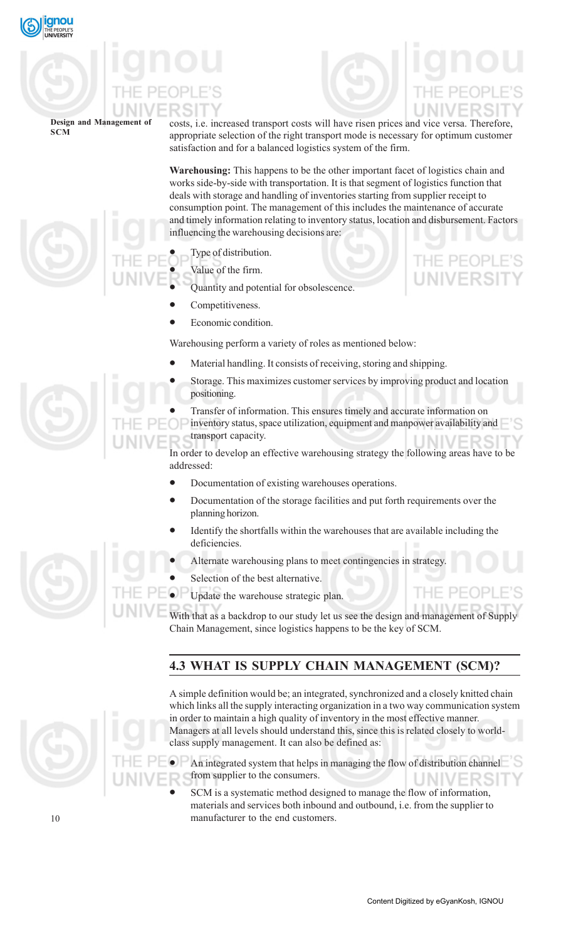

costs, i.e. increased transport costs will have risen prices and vice versa. Therefore, appropriate selection of the right transport mode is necessary for optimum customer satisfaction and for a balanced logistics system of the firm.

**Warehousing:** This happens to be the other important facet of logistics chain and works side-by-side with transportation. It is that segment of logistics function that deals with storage and handling of inventories starting from supplier receipt to consumption point. The management of this includes the maintenance of accurate and timely information relating to inventory status, location and disbursement. Factors influencing the warehousing decisions are:

Type of distribution.

- Value of the firm.
- Quantity and potential for obsolescence.
- Competitiveness.
- Economic condition.

Warehousing perform a variety of roles as mentioned below:

- Material handling. It consists of receiving, storing and shipping.
- Storage. This maximizes customer services by improving product and location positioning.
- Transfer of information. This ensures timely and accurate information on
	- inventory status, space utilization, equipment and manpower availability and transport capacity.

In order to develop an effective warehousing strategy the following areas have to be addressed:

- Documentation of existing warehouses operations.
- Documentation of the storage facilities and put forth requirements over the planning horizon.
- Identify the shortfalls within the warehouses that are available including the deficiencies.
- Alternate warehousing plans to meet contingencies in strategy.
- Selection of the best alternative.
- Update the warehouse strategic plan.

With that as a backdrop to our study let us see the design and management of Supply Chain Management, since logistics happens to be the key of SCM.

# **4.3 WHAT IS SUPPLY CHAIN MANAGEMENT (SCM)?**



A simple definition would be; an integrated, synchronized and a closely knitted chain which links all the supply interacting organization in a two way communication system in order to maintain a high quality of inventory in the most effective manner. Managers at all levels should understand this, since this is related closely to worldclass supply management. It can also be defined as:

• An integrated system that helps in managing the flow of distribution channel from supplier to the consumers.

SCM is a systematic method designed to manage the flow of information, materials and services both inbound and outbound, i.e. from the supplier to manufacturer to the end customers.

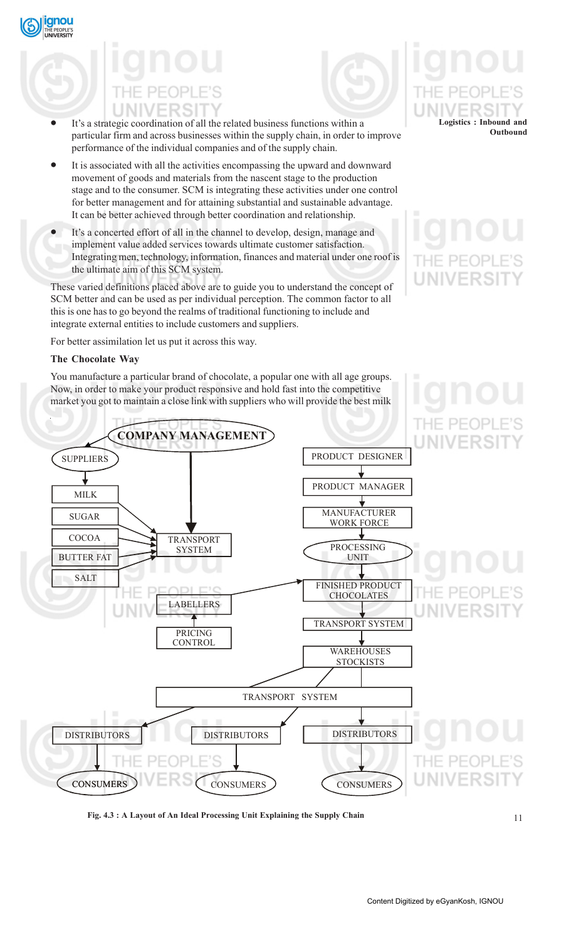- It's a strategic coordination of all the related business functions within a particular firm and across businesses within the supply chain, in order to improve performance of the individual companies and of the supply chain.
- It is associated with all the activities encompassing the upward and downward movement of goods and materials from the nascent stage to the production stage and to the consumer. SCM is integrating these activities under one control for better management and for attaining substantial and sustainable advantage. It can be better achieved through better coordination and relationship.
- It's a concerted effort of all in the channel to develop, design, manage and implement value added services towards ultimate customer satisfaction. Integrating men, technology, information, finances and material under one roof is the ultimate aim of this SCM system.

These varied definitions placed above are to guide you to understand the concept of SCM better and can be used as per individual perception. The common factor to all this is one has to go beyond the realms of traditional functioning to include and integrate external entities to include customers and suppliers.

For better assimilation let us put it across this way.

# **The Chocolate Way**

ignou

You manufacture a particular brand of chocolate, a popular one with all age groups. Now, in order to make your product responsive and hold fast into the competitive market you got to maintain a close link with suppliers who will provide the best milk

# **Logistics : Inbound and Outbound**

# IF PFOP **UNIVERSIT**



**Fig. 4.3 : A Layout of An Ideal Processing Unit Explaining the Supply Chain**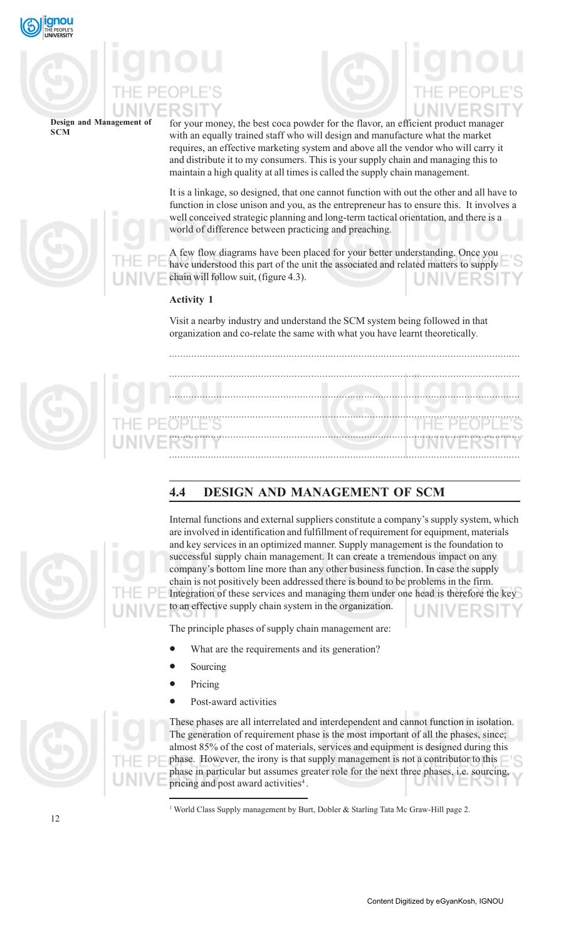

# for your money, the best coca powder for the flavor, an efficient product manager

**Design and Management of SCM**

with an equally trained staff who will design and manufacture what the market requires, an effective marketing system and above all the vendor who will carry it and distribute it to my consumers. This is your supply chain and managing this to maintain a high quality at all times is called the supply chain management.

It is a linkage, so designed, that one cannot function with out the other and all have to function in close unison and you, as the entrepreneur has to ensure this. It involves a well conceived strategic planning and long-term tactical orientation, and there is a world of difference between practicing and preaching.

A few flow diagrams have been placed for your better understanding. Once you have understood this part of the unit the associated and related matters to supply chain will follow suit, (figure 4.3).

# **Activity 1**

Visit a nearby industry and understand the SCM system being followed in that organization and co-relate the same with what you have learnt theoretically*.*

*..............................................................................................................................*

*.............................................................................................................................. .............................................................................................................................. .............................................................................................................................. .............................................................................................................................. ..............................................................................................................................*

# **4.4 DESIGN AND MANAGEMENT OF SCM**



Internal functions and external suppliers constitute a company's supply system, which are involved in identification and fulfillment of requirement for equipment, materials and key services in an optimized manner. Supply management is the foundation to successful supply chain management. It can create a tremendous impact on any company's bottom line more than any other business function. In case the supply chain is not positively been addressed there is bound to be problems in the firm. Integration of these services and managing them under one head is therefore the key to an effective supply chain system in the organization.

The principle phases of supply chain management are:

- What are the requirements and its generation?
- **Sourcing**
- Pricing
- Post-award activities



These phases are all interrelated and interdependent and cannot function in isolation. The generation of requirement phase is the most important of all the phases, since; almost 85% of the cost of materials, services and equipment is designed during this phase. However, the irony is that supply management is not a contributor to this phase in particular but assumes greater role for the next three phases, i.e. sourcing, pricing and post award activities<sup>4</sup>.

<sup>1</sup> World Class Supply management by Burt, Dobler & Starling Tata Mc Graw-Hill page 2.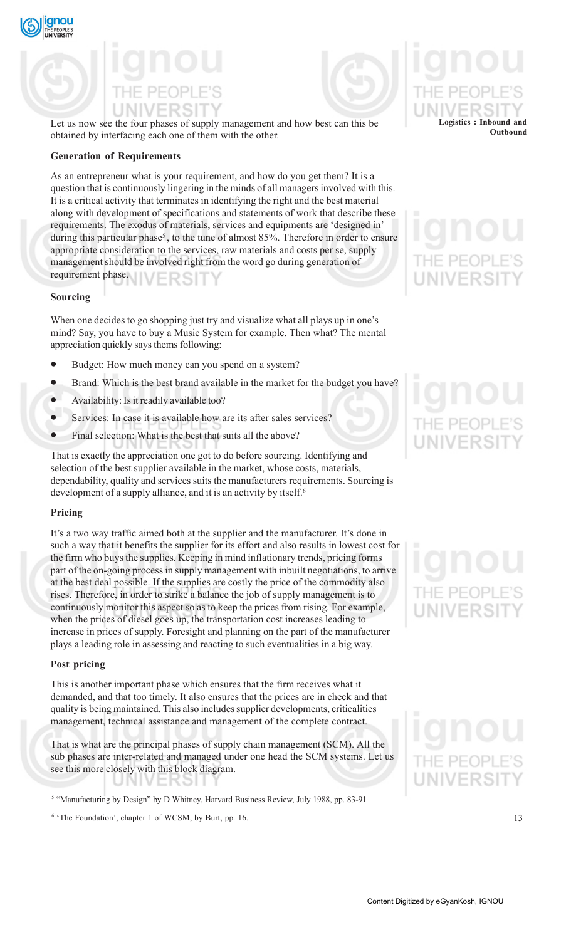



Let us now see the four phases of supply management and how best can this be obtained by interfacing each one of them with the other.

## **Generation of Requirements**

As an entrepreneur what is your requirement, and how do you get them? It is a question that is continuously lingering in the minds of all managers involved with this. It is a critical activity that terminates in identifying the right and the best material along with development of specifications and statements of work that describe these requirements. The exodus of materials, services and equipments are 'designed in' during this particular phase<sup>5</sup>, to the tune of almost 85%. Therefore in order to ensure appropriate consideration to the services, raw materials and costs per se, supply management should be involved right from the word go during generation of requirement phase.

## **Sourcing**

When one decides to go shopping just try and visualize what all plays up in one's mind? Say, you have to buy a Music System for example. Then what? The mental appreciation quickly says thems following:

- Budget: How much money can you spend on a system?
- Brand: Which is the best brand available in the market for the budget you have?
- Availability: Is it readily available too?
- Services: In case it is available how are its after sales services?
- Final selection: What is the best that suits all the above?

That is exactly the appreciation one got to do before sourcing. Identifying and selection of the best supplier available in the market, whose costs, materials, dependability, quality and services suits the manufacturers requirements. Sourcing is development of a supply alliance, and it is an activity by itself.<sup>6</sup>

## **Pricing**

It's a two way traffic aimed both at the supplier and the manufacturer. It's done in such a way that it benefits the supplier for its effort and also results in lowest cost for the firm who buys the supplies. Keeping in mind inflationary trends, pricing forms part of the on-going process in supply management with inbuilt negotiations, to arrive at the best deal possible. If the supplies are costly the price of the commodity also rises. Therefore, in order to strike a balance the job of supply management is to continuously monitor this aspect so as to keep the prices from rising. For example, when the prices of diesel goes up, the transportation cost increases leading to increase in prices of supply. Foresight and planning on the part of the manufacturer plays a leading role in assessing and reacting to such eventualities in a big way.

## **Post pricing**

This is another important phase which ensures that the firm receives what it demanded, and that too timely. It also ensures that the prices are in check and that quality is being maintained. This also includes supplier developments, criticalities management, technical assistance and management of the complete contract.

That is what are the principal phases of supply chain management (SCM). All the sub phases are inter-related and managed under one head the SCM systems. Let us see this more closely with this block diagram.

**Logistics : Inbound and**

**Outbound**

# **NIVERSI**

<sup>&</sup>lt;sup>5</sup> "Manufacturing by Design" by D Whitney, Harvard Business Review, July 1988, pp. 83-91

<sup>&</sup>lt;sup>6</sup> 'The Foundation', chapter 1 of WCSM, by Burt, pp. 16.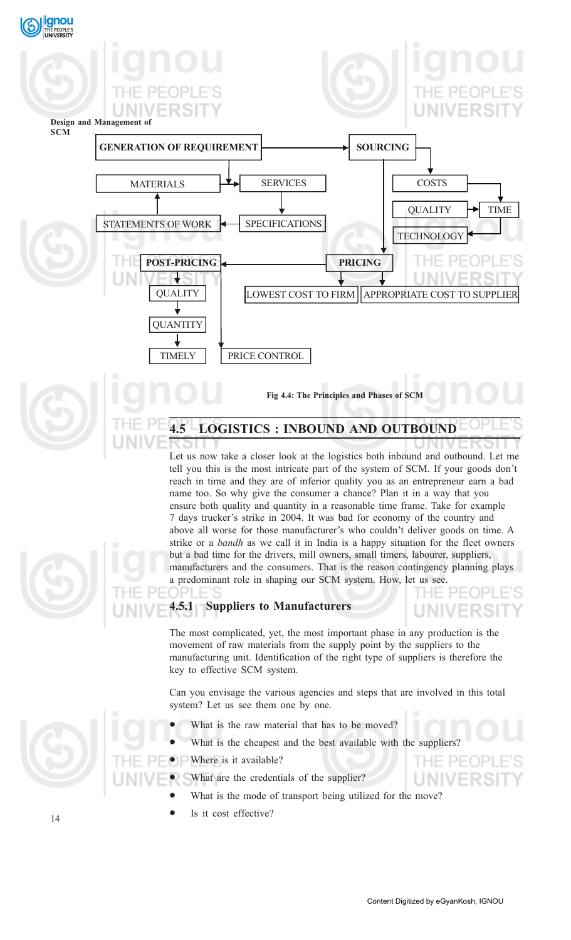

Let us now take a closer look at the logistics both inbound and outbound. Let me tell you this is the most intricate part of the system of SCM. If your goods don't reach in time and they are of inferior quality you as an entrepreneur earn a bad name too. So why give the consumer a chance? Plan it in a way that you ensure both quality and quantity in a reasonable time frame. Take for example 7 days trucker's strike in 2004. It was bad for economy of the country and above all worse for those manufacturer's who couldn't deliver goods on time. A strike or a *bandh* as we call it in India is a happy situation for the fleet owners but a bad time for the drivers, mill owners, small timers, labourer, suppliers, manufacturers and the consumers. That is the reason contingency planning plays a predominant role in shaping our SCM system. How, let us see. DPI F



# **4.5.1 Suppliers to Manufacturers**

The most complicated, yet, the most important phase in any production is the movement of raw materials from the supply point by the suppliers to the manufacturing unit. Identification of the right type of suppliers is therefore the key to effective SCM system.

Can you envisage the various agencies and steps that are involved in this total system? Let us see them one by one.

- What is the raw material that has to be moved?
- What is the cheapest and the best available with the suppliers?

Where is it available?

- What are the credentials of the supplier?
	- What is the mode of transport being utilized for the move?
	- Is it cost effective?

**JNIVERSIT** 

THE PEOP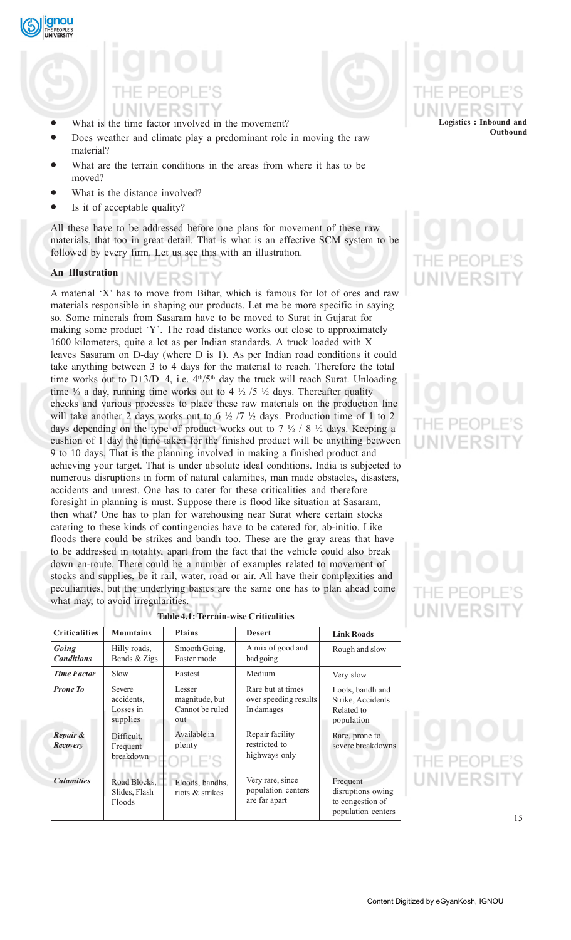



# What is the time factor involved in the movement?

- Does weather and climate play a predominant role in moving the raw material?
- What are the terrain conditions in the areas from where it has to be moved?
- What is the distance involved?
- Is it of acceptable quality?

All these have to be addressed before one plans for movement of these raw materials, that too in great detail. That is what is an effective SCM system to be followed by every firm. Let us see this with an illustration.

# **An Illustration**<br> $N$  |  $V$   $ER$   $S$  |  $T$

A material 'X' has to move from Bihar, which is famous for lot of ores and raw materials responsible in shaping our products. Let me be more specific in saying so. Some minerals from Sasaram have to be moved to Surat in Gujarat for making some product 'Y'. The road distance works out close to approximately 1600 kilometers, quite a lot as per Indian standards. A truck loaded with X leaves Sasaram on D-day (where D is 1). As per Indian road conditions it could take anything between 3 to 4 days for the material to reach. Therefore the total time works out to D+3/D+4, i.e.  $4<sup>th</sup>/5<sup>th</sup>$  day the truck will reach Surat. Unloading time  $\frac{1}{2}$  a day, running time works out to 4  $\frac{1}{2}$  /5  $\frac{1}{2}$  days. Thereafter quality checks and various processes to place these raw materials on the production line will take another 2 days works out to 6  $\frac{1}{2}$  /7  $\frac{1}{2}$  days. Production time of 1 to 2 days depending on the type of product works out to  $7\frac{1}{2}$  / 8  $\frac{1}{2}$  days. Keeping a cushion of 1 day the time taken for the finished product will be anything between 9 to 10 days. That is the planning involved in making a finished product and achieving your target. That is under absolute ideal conditions. India is subjected to numerous disruptions in form of natural calamities, man made obstacles, disasters, accidents and unrest. One has to cater for these criticalities and therefore foresight in planning is must. Suppose there is flood like situation at Sasaram, then what? One has to plan for warehousing near Surat where certain stocks catering to these kinds of contingencies have to be catered for, ab-initio. Like floods there could be strikes and bandh too. These are the gray areas that have to be addressed in totality, apart from the fact that the vehicle could also break down en-route. There could be a number of examples related to movement of stocks and supplies, be it rail, water, road or air. All have their complexities and peculiarities, but the underlying basics are the same one has to plan ahead come what may, to avoid irregularities.

| THE PEOPLE'S<br>UNIVERSITY |  |  |  |
|----------------------------|--|--|--|
|                            |  |  |  |
|                            |  |  |  |

**Logistics : Inbound and**

**Outbound**

| <b>Criticalities</b>       | <b>Mountains</b>                              | <b>Plains</b>                                      | <b>Desert</b>                                            | <b>Link Roads</b>                                                       |
|----------------------------|-----------------------------------------------|----------------------------------------------------|----------------------------------------------------------|-------------------------------------------------------------------------|
| Going<br><b>Conditions</b> | Hilly roads,<br>Bends & Zigs                  | Smooth Going,<br>Faster mode                       | A mix of good and<br>bad going                           | Rough and slow                                                          |
| <b>Time Factor</b>         | Slow                                          | Fastest                                            | Medium                                                   | Very slow                                                               |
| <b>Prone To</b>            | Severe<br>accidents.<br>Losses in<br>supplies | Lesser<br>magnitude, but<br>Cannot be ruled<br>out | Rare but at times<br>over speeding results<br>In damages | Loots, bandh and<br>Strike, Accidents<br>Related to<br>population       |
| Repair &<br>Recovery       | Difficult.<br>Frequent<br>breakdown           | Available in<br>plenty                             | Repair facility<br>restricted to<br>highways only        | Rare, prone to<br>severe breakdowns                                     |
| <b>Calamities</b>          | Road Blocks,<br>Slides, Flash<br>Floods       | Floods, bandhs,<br>riots & strikes                 | Very rare, since<br>population centers<br>are far apart  | Frequent<br>disruptions owing<br>to congestion of<br>population centers |

# **Table 4.1: Terrain-wise Criticalities**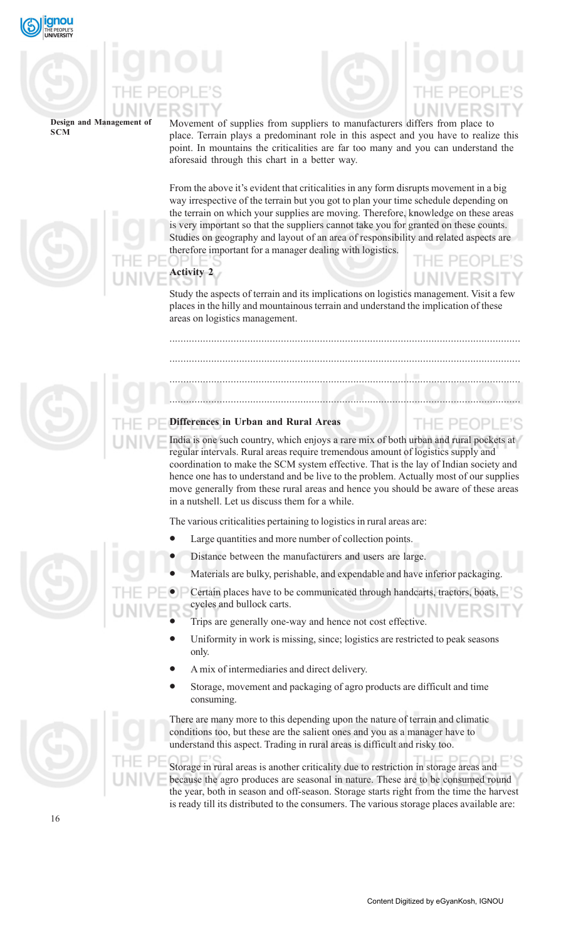

Movement of supplies from suppliers to manufacturers differs from place to place. Terrain plays a predominant role in this aspect and you have to realize this point. In mountains the criticalities are far too many and you can understand the aforesaid through this chart in a better way.

From the above it's evident that criticalities in any form disrupts movement in a big way irrespective of the terrain but you got to plan your time schedule depending on the terrain on which your supplies are moving. Therefore, knowledge on these areas is very important so that the suppliers cannot take you for granted on these counts. Studies on geography and layout of an area of responsibility and related aspects are therefore important for a manager dealing with logistics.

**Activity 2**

THE PEOPI

Study the aspects of terrain and its implications on logistics management. Visit a few places in the hilly and mountainous terrain and understand the implication of these areas on logistics management.

..............................................................................................................................

..............................................................................................................................

..............................................................................................................................

..............................................................................................................................

# **Differences in Urban and Rural Areas**

India is one such country, which enjoys a rare mix of both urban and rural pockets at regular intervals. Rural areas require tremendous amount of logistics supply and coordination to make the SCM system effective. That is the lay of Indian society and hence one has to understand and be live to the problem. Actually most of our supplies move generally from these rural areas and hence you should be aware of these areas in a nutshell. Let us discuss them for a while.

The various criticalities pertaining to logistics in rural areas are:

- Large quantities and more number of collection points.
- Distance between the manufacturers and users are large.
- Materials are bulky, perishable, and expendable and have inferior packaging.

• Certain places have to be communicated through handcarts, tractors, boats, cycles and bullock carts.

- Trips are generally one-way and hence not cost effective.
- Uniformity in work is missing, since; logistics are restricted to peak seasons only.
- A mix of intermediaries and direct delivery.
- Storage, movement and packaging of agro products are difficult and time consuming.

There are many more to this depending upon the nature of terrain and climatic conditions too, but these are the salient ones and you as a manager have to understand this aspect. Trading in rural areas is difficult and risky too.

Storage in rural areas is another criticality due to restriction in storage areas and because the agro produces are seasonal in nature. These are to be consumed round the year, both in season and off-season. Storage starts right from the time the harvest is ready till its distributed to the consumers. The various storage places available are:





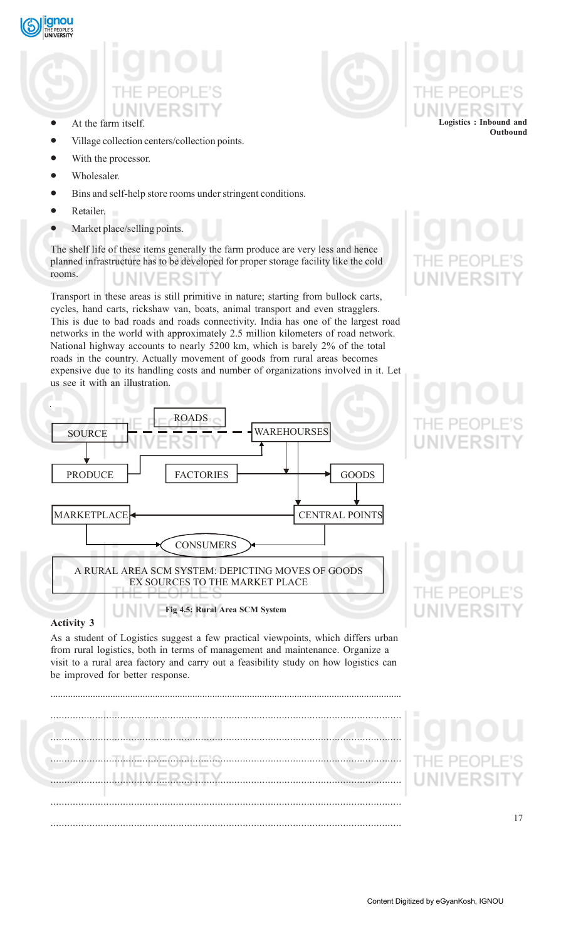

- At the farm itself.
- Village collection centers/collection points.
- With the processor.
- Wholesaler.
- Bins and self-help store rooms under stringent conditions.
- Retailer.
- Market place/selling points.

The shelf life of these items generally the farm produce are very less and hence planned infrastructure has to be developed for proper storage facility like the cold rooms. UNIVERSI

Transport in these areas is still primitive in nature; starting from bullock carts, cycles, hand carts, rickshaw van, boats, animal transport and even stragglers. This is due to bad roads and roads connectivity. India has one of the largest road networks in the world with approximately 2.5 million kilometers of road network. National highway accounts to nearly 5200 km, which is barely 2% of the total roads in the country. Actually movement of goods from rural areas becomes expensive due to its handling costs and number of organizations involved in it. Let us see it with an illustration.



**Logistics : Inbound and**

**Outbound**

# **Activity 3**

As a student of Logistics suggest a few practical viewpoints, which differs urban from rural logistics, both in terms of management and maintenance. Organize a visit to a rural area factory and carry out a feasibility study on how logistics can be improved for better response.

.............................................................................................................................................

**Fig 4.5: Rural Area SCM System**

.............................................................................................................................. .............................................................................................................................. .............................................................................................................................. .............................................................................................................................. .............................................................................................................................. ..............................................................................................................................

**JNIVERSI**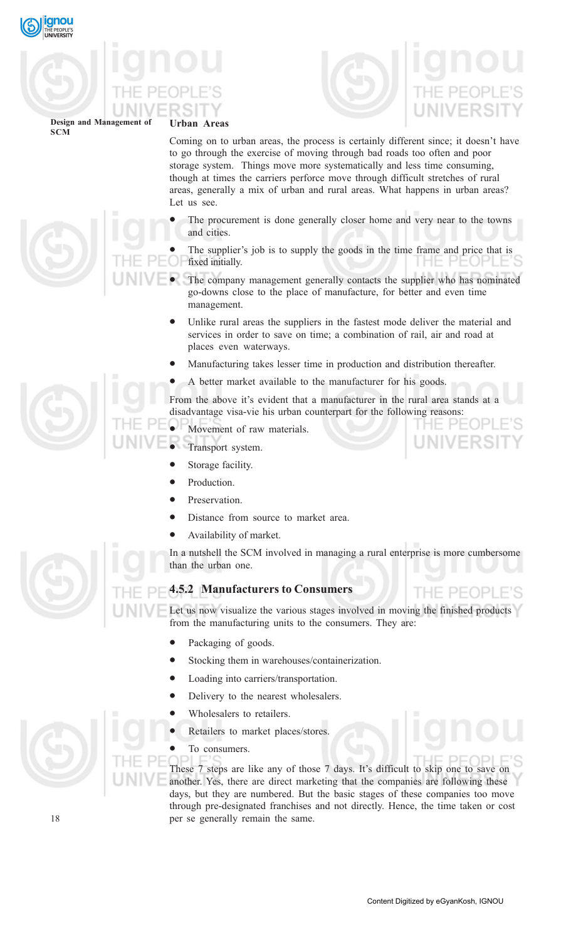





**SCM**

Coming on to urban areas, the process is certainly different since; it doesn't have to go through the exercise of moving through bad roads too often and poor storage system. Things move more systematically and less time consuming, though at times the carriers perforce move through difficult stretches of rural areas, generally a mix of urban and rural areas. What happens in urban areas? Let us see.

- The procurement is done generally closer home and very near to the towns and cities.
- The supplier's job is to supply the goods in the time frame and price that is fixed initially.
- The company management generally contacts the supplier who has nominated go-downs close to the place of manufacture, for better and even time management.
	- Unlike rural areas the suppliers in the fastest mode deliver the material and services in order to save on time; a combination of rail, air and road at places even waterways.
	- Manufacturing takes lesser time in production and distribution thereafter.
	- A better market available to the manufacturer for his goods.

From the above it's evident that a manufacturer in the rural area stands at a disadvantage visa-vie his urban counterpart for the following reasons:

- Movement of raw materials.
- Transport system.
	- Storage facility.
	- Production.
	- Preservation.
	- Distance from source to market area.
	- Availability of market.

In a nutshell the SCM involved in managing a rural enterprise is more cumbersome than the urban one.

# **4.5.2 Manufacturers to Consumers**

Let us now visualize the various stages involved in moving the finished products from the manufacturing units to the consumers. They are:

- Packaging of goods.
- Stocking them in warehouses/containerization.
- Loading into carriers/transportation.
- Delivery to the nearest wholesalers.
- Wholesalers to retailers.
- Retailers to market places/stores.

# To consumers.

These 7 steps are like any of those 7 days. It's difficult to skip one to save on another. Yes, there are direct marketing that the companies are following these days, but they are numbered. But the basic stages of these companies too move through pre-designated franchises and not directly. Hence, the time taken or cost per se generally remain the same.



THE PEOPLE'S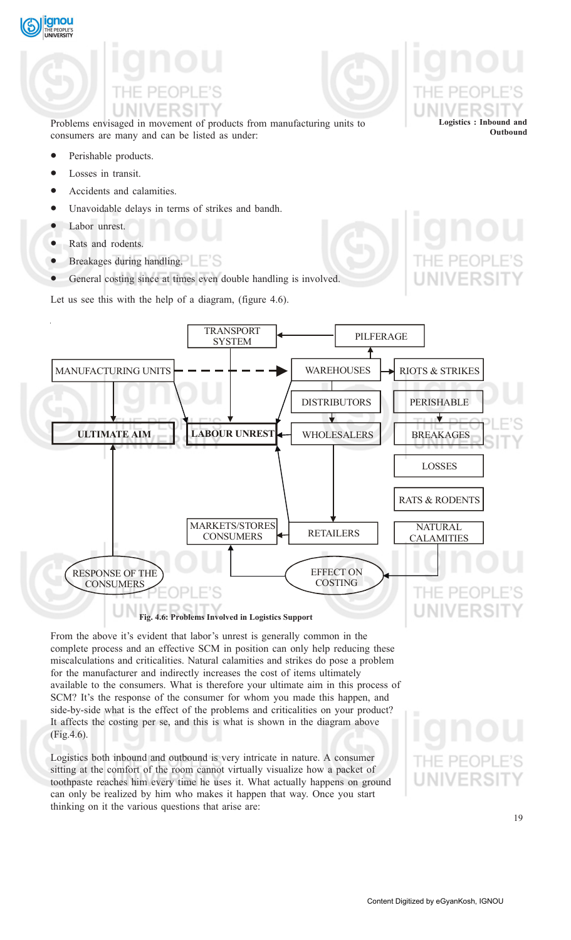

Problems envisaged in movement of products from manufacturing units to consumers are many and can be listed as under:

- Perishable products.
- Losses in transit.
- Accidents and calamities.
- Unavoidable delays in terms of strikes and bandh.
- Labor unrest.
- Rats and rodents.
- Breakages during handling.
- General costing since at times even double handling is involved.

Let us see this with the help of a diagram, (figure 4.6).



From the above it's evident that labor's unrest is generally common in the complete process and an effective SCM in position can only help reducing these miscalculations and criticalities. Natural calamities and strikes do pose a problem for the manufacturer and indirectly increases the cost of items ultimately available to the consumers. What is therefore your ultimate aim in this process of SCM? It's the response of the consumer for whom you made this happen, and side-by-side what is the effect of the problems and criticalities on your product? It affects the costing per se, and this is what is shown in the diagram above (Fig.4.6).

Logistics both inbound and outbound is very intricate in nature. A consumer sitting at the comfort of the room cannot virtually visualize how a packet of toothpaste reaches him every time he uses it. What actually happens on ground can only be realized by him who makes it happen that way. Once you start thinking on it the various questions that arise are:

**Logistics : Inbound and**

**Outbound**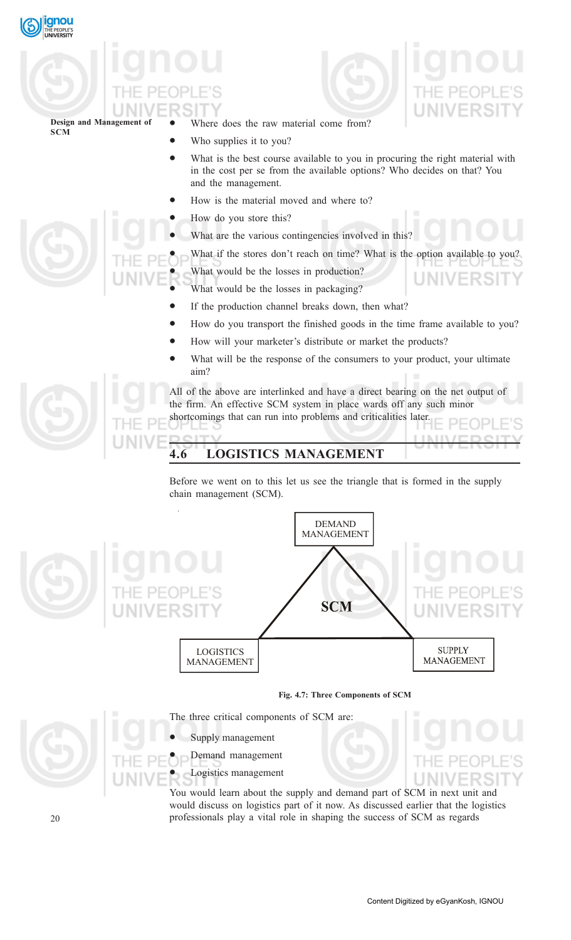



**JNIVERSI** 

**Design and Management of SCM**

- Where does the raw material come from?
- Who supplies it to you?
- What is the best course available to you in procuring the right material with in the cost per se from the available options? Who decides on that? You and the management.
- How is the material moved and where to?
- How do you store this?
- What are the various contingencies involved in this?
- What if the stores don't reach on time? What is the option available to you?

What would be the losses in production?

- What would be the losses in packaging?
- If the production channel breaks down, then what?
- How do you transport the finished goods in the time frame available to you?
- How will your marketer's distribute or market the products?
- What will be the response of the consumers to your product, your ultimate aim?

All of the above are interlinked and have a direct bearing on the net output of the firm. An effective SCM system in place wards off any such minor shortcomings that can run into problems and criticalities later.

# **4.6 LOGISTICS MANAGEMENT**

Before we went on to this let us see the triangle that is formed in the supply chain management (SCM).



# **Fig. 4.7: Three Components of SCM**

The three critical components of SCM are:

- Supply management
- Demand management
- Logistics management

You would learn about the supply and demand part of SCM in next unit and would discuss on logistics part of it now. As discussed earlier that the logistics professionals play a vital role in shaping the success of SCM as regards





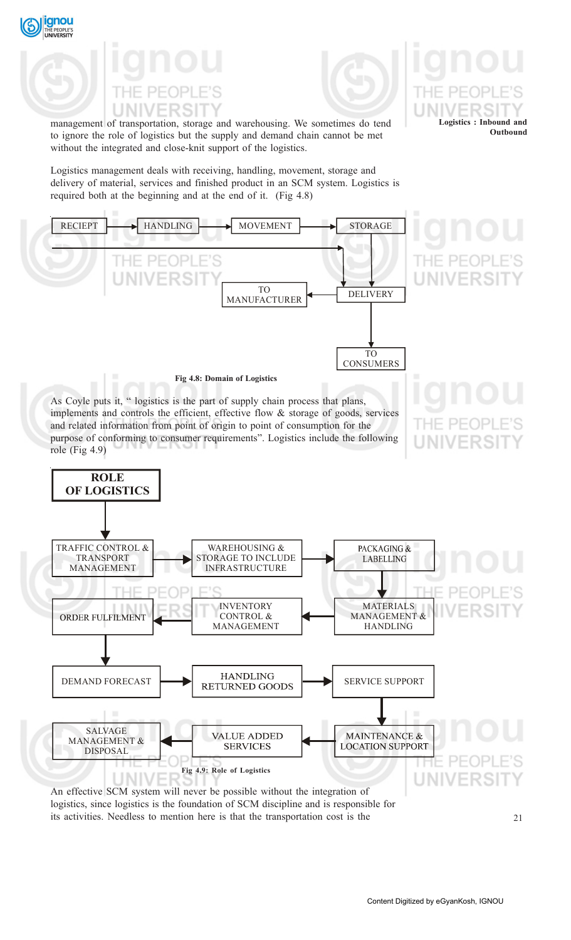



**Logistics : Inbound and**

**Outbound**

management of transportation, storage and warehousing. We sometimes do tend to ignore the role of logistics but the supply and demand chain cannot be met without the integrated and close-knit support of the logistics.

Logistics management deals with receiving, handling, movement, storage and delivery of material, services and finished product in an SCM system. Logistics is required both at the beginning and at the end of it. (Fig 4.8)



An effective SCM system will never be possible without the integration of logistics, since logistics is the foundation of SCM discipline and is responsible for its activities. Needless to mention here is that the transportation cost is the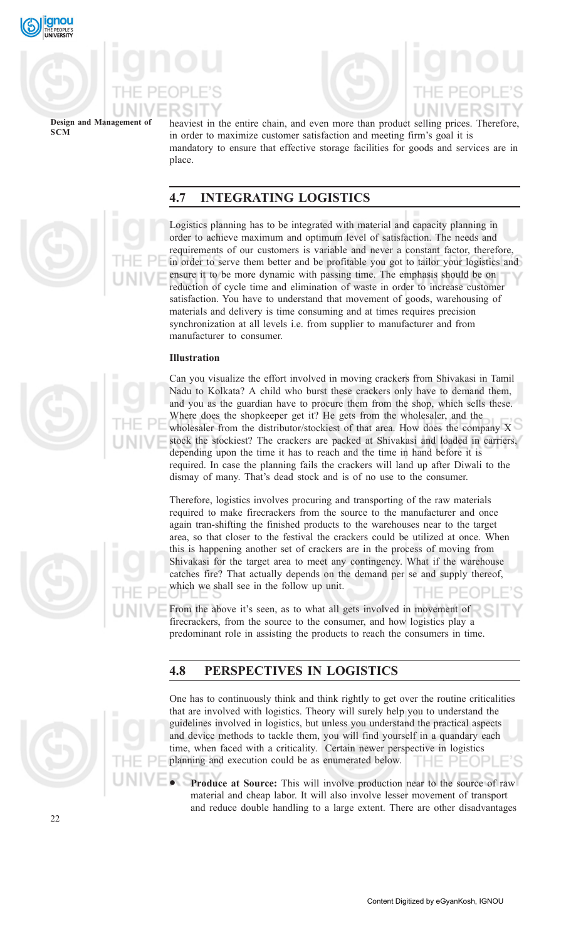



heaviest in the entire chain, and even more than product selling prices. Therefore, in order to maximize customer satisfaction and meeting firm's goal it is mandatory to ensure that effective storage facilities for goods and services are in place.

# **4.7 INTEGRATING LOGISTICS**

Logistics planning has to be integrated with material and capacity planning in order to achieve maximum and optimum level of satisfaction. The needs and requirements of our customers is variable and never a constant factor, therefore, in order to serve them better and be profitable you got to tailor your logistics and ensure it to be more dynamic with passing time. The emphasis should be on reduction of cycle time and elimination of waste in order to increase customer satisfaction. You have to understand that movement of goods, warehousing of materials and delivery is time consuming and at times requires precision synchronization at all levels i.e. from supplier to manufacturer and from manufacturer to consumer.

# **Illustration**

Can you visualize the effort involved in moving crackers from Shivakasi in Tamil Nadu to Kolkata? A child who burst these crackers only have to demand them, and you as the guardian have to procure them from the shop, which sells these. Where does the shopkeeper get it? He gets from the wholesaler, and the wholesaler from the distributor/stockiest of that area. How does the company X stock the stockiest? The crackers are packed at Shivakasi and loaded in carriers, depending upon the time it has to reach and the time in hand before it is required. In case the planning fails the crackers will land up after Diwali to the dismay of many. That's dead stock and is of no use to the consumer.

Therefore, logistics involves procuring and transporting of the raw materials required to make firecrackers from the source to the manufacturer and once again tran-shifting the finished products to the warehouses near to the target area, so that closer to the festival the crackers could be utilized at once. When this is happening another set of crackers are in the process of moving from Shivakasi for the target area to meet any contingency. What if the warehouse catches fire? That actually depends on the demand per se and supply thereof, which we shall see in the follow up unit. THE PEC

From the above it's seen, as to what all gets involved in movement of firecrackers, from the source to the consumer, and how logistics play a predominant role in assisting the products to reach the consumers in time.

# **4.8 PERSPECTIVES IN LOGISTICS**

One has to continuously think and think rightly to get over the routine criticalities that are involved with logistics. Theory will surely help you to understand the guidelines involved in logistics, but unless you understand the practical aspects and device methods to tackle them, you will find yourself in a quandary each time, when faced with a criticality. Certain newer perspective in logistics planning and execution could be as enumerated below. THE PEOP

• **Produce at Source:** This will involve production near to the source of raw material and cheap labor. It will also involve lesser movement of transport and reduce double handling to a large extent. There are other disadvantages





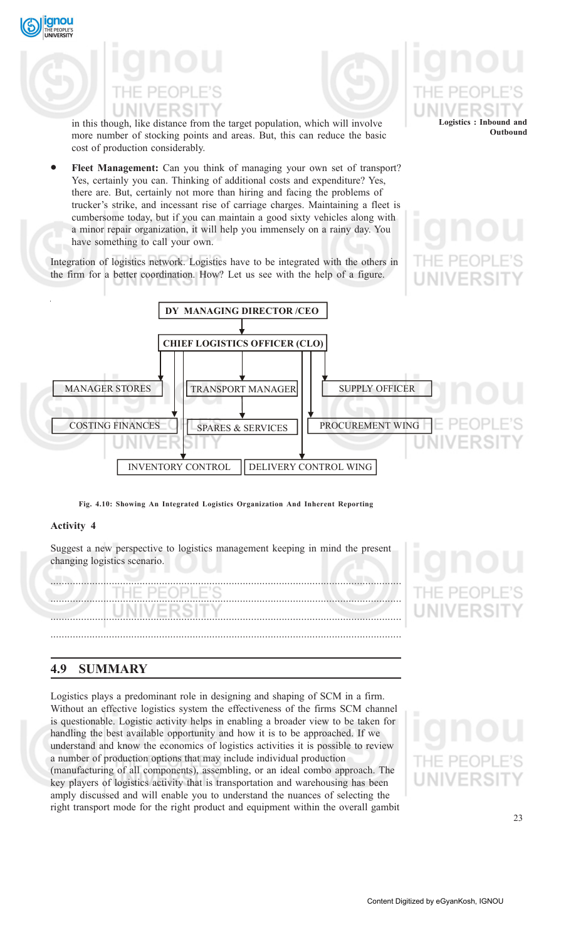

**Logistics : Inbound and**

**Outbound**

in this though, like distance from the target population, which will involve more number of stocking points and areas. But, this can reduce the basic cost of production considerably.

Fleet Management: Can you think of managing your own set of transport? Yes, certainly you can. Thinking of additional costs and expenditure? Yes, there are. But, certainly not more than hiring and facing the problems of trucker's strike, and incessant rise of carriage charges. Maintaining a fleet is cumbersome today, but if you can maintain a good sixty vehicles along with a minor repair organization, it will help you immensely on a rainy day. You have something to call your own.

Integration of logistics network. Logistics have to be integrated with the others in the firm for a better coordination. How? Let us see with the help of a figure.



**Fig. 4.10: Showing An Integrated Logistics Organization And Inherent Reporting**

# **Activity 4**

qnou

Suggest a new perspective to logistics management keeping in mind the present changing logistics scenario.



# **4.9 SUMMARY**

Logistics plays a predominant role in designing and shaping of SCM in a firm. Without an effective logistics system the effectiveness of the firms SCM channel is questionable. Logistic activity helps in enabling a broader view to be taken for handling the best available opportunity and how it is to be approached. If we understand and know the economics of logistics activities it is possible to review a number of production options that may include individual production (manufacturing of all components), assembling, or an ideal combo approach. The key players of logistics activity that is transportation and warehousing has been amply discussed and will enable you to understand the nuances of selecting the right transport mode for the right product and equipment within the overall gambit